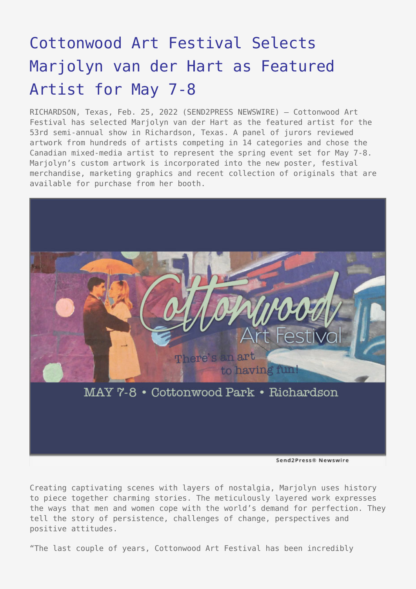# [Cottonwood Art Festival Selects](https://www.send2press.com/wire/cottonwood-art-festival-selects-marjolyn-van-der-hart-as-featured-artist-for-may-7-8/) [Marjolyn van der Hart as Featured](https://www.send2press.com/wire/cottonwood-art-festival-selects-marjolyn-van-der-hart-as-featured-artist-for-may-7-8/) [Artist for May 7-8](https://www.send2press.com/wire/cottonwood-art-festival-selects-marjolyn-van-der-hart-as-featured-artist-for-may-7-8/)

RICHARDSON, Texas, Feb. 25, 2022 (SEND2PRESS NEWSWIRE) — Cottonwood Art Festival has selected Marjolyn van der Hart as the featured artist for the 53rd semi-annual show in Richardson, Texas. A panel of jurors reviewed artwork from hundreds of artists competing in 14 categories and chose the Canadian mixed-media artist to represent the spring event set for May 7-8. Marjolyn's custom artwork is incorporated into the new poster, festival merchandise, marketing graphics and recent collection of originals that are available for purchase from her booth.



Send2Press® Newswire

Creating captivating scenes with layers of nostalgia, Marjolyn uses history to piece together charming stories. The meticulously layered work expresses the ways that men and women cope with the world's demand for perfection. They tell the story of persistence, challenges of change, perspectives and positive attitudes.

"The last couple of years, Cottonwood Art Festival has been incredibly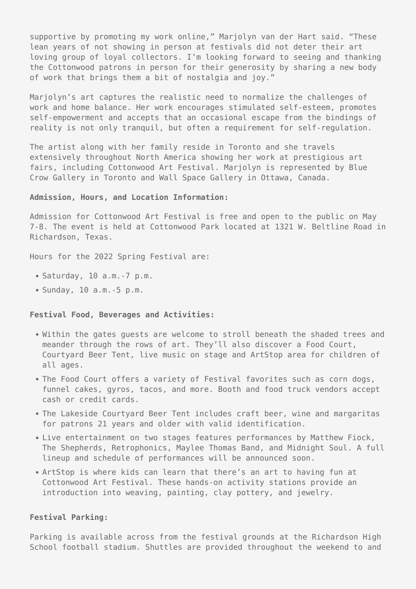supportive by promoting my work online," Marjolyn van der Hart said. "These lean years of not showing in person at festivals did not deter their art loving group of loyal collectors. I'm looking forward to seeing and thanking the Cottonwood patrons in person for their generosity by sharing a new body of work that brings them a bit of nostalgia and joy."

Mariolyn's art captures the realistic need to normalize the challenges of work and home balance. Her work encourages stimulated self-esteem, promotes self-empowerment and accepts that an occasional escape from the bindings of reality is not only tranquil, but often a requirement for self-regulation.

The artist along with her family reside in Toronto and she travels extensively throughout North America showing her work at prestigious art fairs, including Cottonwood Art Festival. Marjolyn is represented by Blue Crow Gallery in Toronto and Wall Space Gallery in Ottawa, Canada.

## **Admission, Hours, and Location Information:**

Admission for Cottonwood Art Festival is free and open to the public on May 7-8. The event is held at Cottonwood Park located at 1321 W. Beltline Road in Richardson, Texas.

Hours for the 2022 Spring Festival are:

- $\bullet$  Saturday, 10 a.m. 7 p.m.
- Sunday, 10 a.m.-5 p.m.

#### **Festival Food, Beverages and Activities:**

- Within the gates guests are welcome to stroll beneath the shaded trees and meander through the rows of art. They'll also discover a Food Court, Courtyard Beer Tent, live music on stage and ArtStop area for children of all ages.
- The Food Court offers a variety of Festival favorites such as corn dogs, funnel cakes, gyros, tacos, and more. Booth and food truck vendors accept cash or credit cards.
- The Lakeside Courtyard Beer Tent includes craft beer, wine and margaritas for patrons 21 years and older with valid identification.
- Live entertainment on two stages features performances by Matthew Fiock, The Shepherds, Retrophonics, Maylee Thomas Band, and Midnight Soul. A full lineup and schedule of performances will be announced soon.
- ArtStop is where kids can learn that there's an art to having fun at Cottonwood Art Festival. These hands-on activity stations provide an introduction into weaving, painting, clay pottery, and jewelry.

### **Festival Parking:**

Parking is available across from the festival grounds at the Richardson High School football stadium. Shuttles are provided throughout the weekend to and